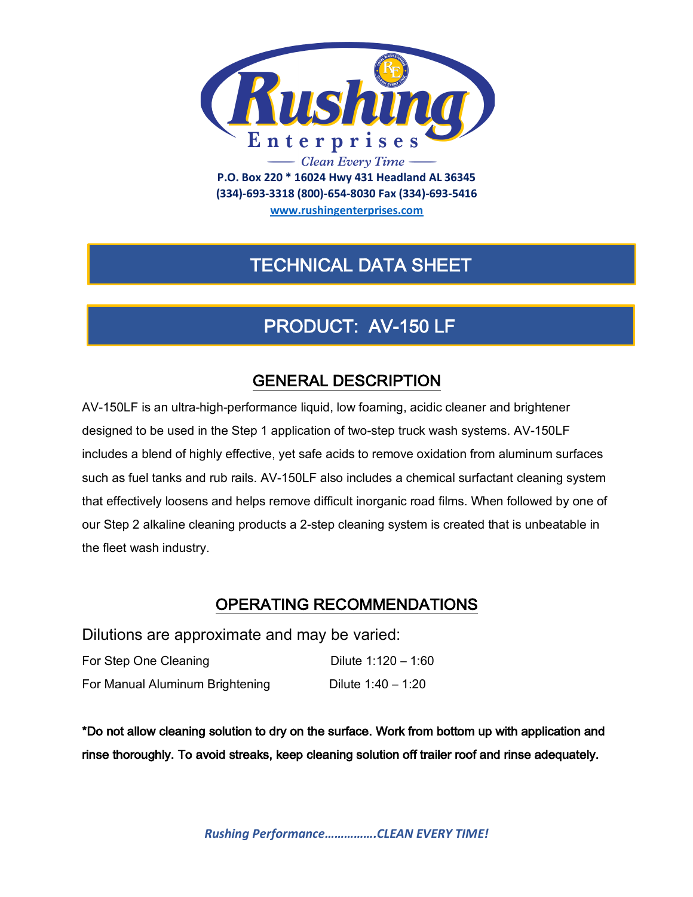

**(334)-693-3318 (800)-654-8030 Fax (334)-693-5416**

**www.rushingenterprises.com**

## TECHNICAL DATA SHEET

# PRODUCT: AV-150 LF

## GENERAL DESCRIPTION

AV-150LF is an ultra-high-performance liquid, low foaming, acidic cleaner and brightener designed to be used in the Step 1 application of two-step truck wash systems. AV-150LF includes a blend of highly effective, yet safe acids to remove oxidation from aluminum surfaces such as fuel tanks and rub rails. AV-150LF also includes a chemical surfactant cleaning system that effectively loosens and helps remove difficult inorganic road films. When followed by one of our Step 2 alkaline cleaning products a 2-step cleaning system is created that is unbeatable in the fleet wash industry.

### OPERATING RECOMMENDATIONS

Dilutions are approximate and may be varied:

| For Step One Cleaning           | Dilute $1:120 - 1:60$ |
|---------------------------------|-----------------------|
| For Manual Aluminum Brightening | Dilute $1:40 - 1:20$  |

\*Do not allow cleaning solution to dry on the surface. Work from bottom up with application and rinse thoroughly. To avoid streaks, keep cleaning solution off trailer roof and rinse adequately.

*Rushing Performance…………….CLEAN EVERY TIME!*